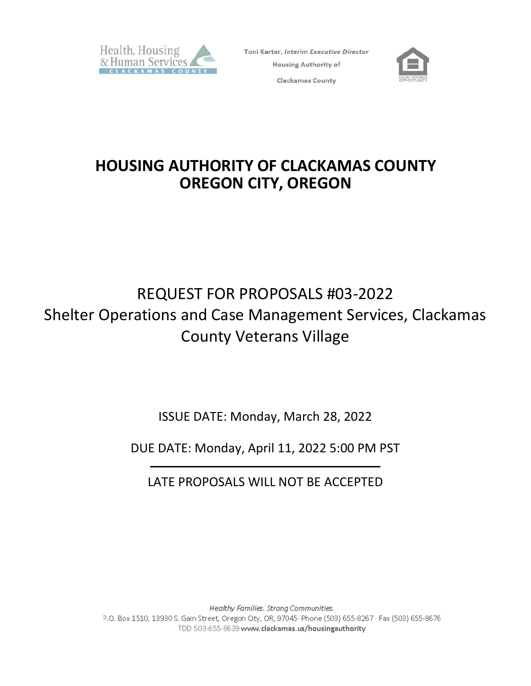

Toni Karter, Interim Executive Director **Housing Authority of** Clackamas County



## **HOUSING AUTHORITY OF CLACKAMAS COUNTY OREGON CITY, OREGON**

# REQUEST FOR PROPOSALS #03-2022 Shelter Operations and Case Management Services, Clackamas County Veterans Village

ISSUE DATE: Monday, March 28, 2022

DUE DATE: Monday, April 11, 2022 5:00 PM PST

LATE PROPOSALS WILL NOT BE ACCEPTED

Healthy Families. Strong Communities. P.O. Box 1510, 13930 S. Gain Street, Oregon City, OR, 97045· Phone (503) 655-8267 · Fax (503) 655-8676 TDD 503-655-8639 www.clackamas.us/housingauthority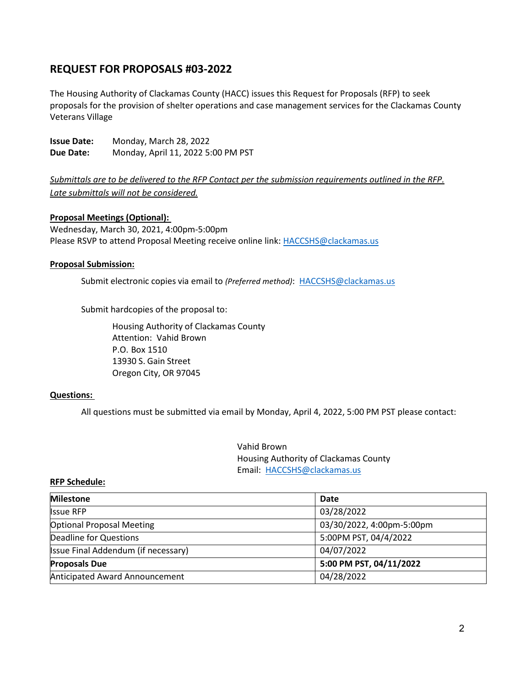### **REQUEST FOR PROPOSALS #03-2022**

The Housing Authority of Clackamas County (HACC) issues this Request for Proposals (RFP) to seek proposals for the provision of shelter operations and case management services for the Clackamas County Veterans Village

**Issue Date:** Monday, March 28, 2022 **Due Date:** Monday, April 11, 2022 5:00 PM PST

*Submittals are to be delivered to the RFP Contact per the submission requirements outlined in the RFP. Late submittals will not be considered.*

#### **Proposal Meetings (Optional):**

Wednesday, March 30, 2021, 4:00pm-5:00pm Please RSVP to attend Proposal Meeting receive online link[: HACCSHS@clackamas.us](mailto:HACCSHS@clackamas.us) 

#### **Proposal Submission:**

Submit electronic copies via email to *(Preferred method)*: [HACCSHS@clackamas.us](mailto:HACCSHS@clackamas.us)

Submit hardcopies of the proposal to:

Housing Authority of Clackamas County Attention: Vahid Brown P.O. Box 1510 13930 S. Gain Street Oregon City, OR 97045

#### **Questions:**

All questions must be submitted via email by Monday, April 4, 2022, 5:00 PM PST please contact:

Vahid Brown Housing Authority of Clackamas County Email: [HACCSHS@clackamas.us](mailto:HACCSHS@clackamas.us)

#### **RFP Schedule:**

| <b>Milestone</b>                    | Date                      |
|-------------------------------------|---------------------------|
| <b>Issue RFP</b>                    | 03/28/2022                |
| <b>Optional Proposal Meeting</b>    | 03/30/2022, 4:00pm-5:00pm |
| Deadline for Questions              | 5:00PM PST, 04/4/2022     |
| Issue Final Addendum (if necessary) | 04/07/2022                |
| <b>Proposals Due</b>                | 5:00 PM PST, 04/11/2022   |
| Anticipated Award Announcement      | 04/28/2022                |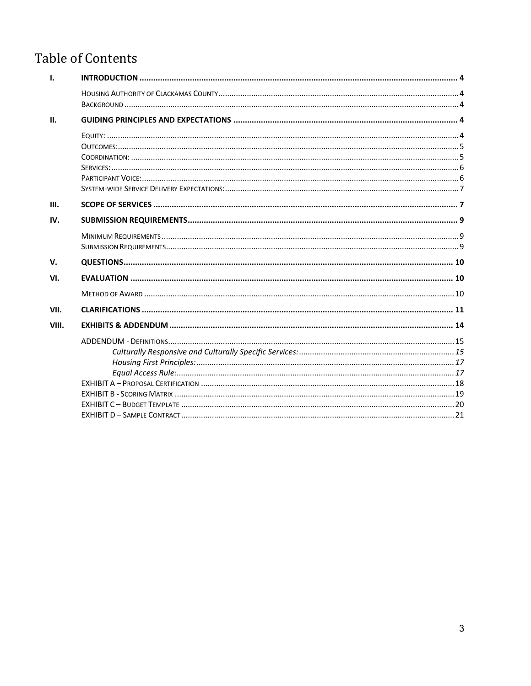## **Table of Contents**

| $\mathbf{I}$ . |  |
|----------------|--|
|                |  |
|                |  |
| II.            |  |
|                |  |
|                |  |
|                |  |
|                |  |
|                |  |
|                |  |
| III.           |  |
| IV.            |  |
|                |  |
|                |  |
| V.             |  |
| VI.            |  |
|                |  |
| VII.           |  |
| VIII.          |  |
|                |  |
|                |  |
|                |  |
|                |  |
|                |  |
|                |  |
|                |  |
|                |  |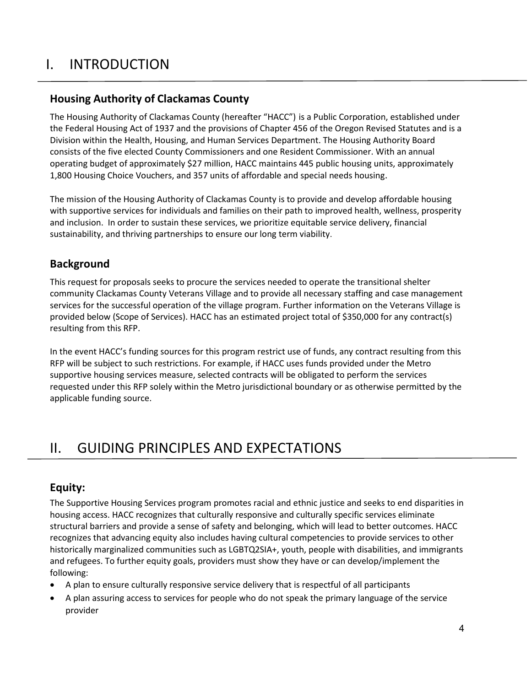## <span id="page-3-3"></span><span id="page-3-0"></span>I. INTRODUCTION

## <span id="page-3-1"></span>**Housing Authority of Clackamas County**

The Housing Authority of Clackamas County (hereafter "HACC") is a Public Corporation, established under the Federal Housing Act of 1937 and the provisions of Chapter 456 of the Oregon Revised Statutes and is a Division within the Health, Housing, and Human Services Department. The Housing Authority Board consists of the five elected County Commissioners and one Resident Commissioner. With an annual operating budget of approximately \$27 million, HACC maintains 445 public housing units, approximately 1,800 Housing Choice Vouchers, and 357 units of affordable and special needs housing.

The mission of the Housing Authority of Clackamas County is to provide and develop affordable housing with supportive services for individuals and families on their path to improved health, wellness, prosperity and inclusion. In order to sustain these services, we prioritize equitable service delivery, financial sustainability, and thriving partnerships to ensure our long term viability.

## <span id="page-3-2"></span>**Background**

This request for proposals seeks to procure the services needed to operate the transitional shelter community Clackamas County Veterans Village and to provide all necessary staffing and case management services for the successful operation of the village program. Further information on the Veterans Village is provided below (Scope of Services). HACC has an estimated project total of \$350,000 for any contract(s) resulting from this RFP.

In the event HACC's funding sources for this program restrict use of funds, any contract resulting from this RFP will be subject to such restrictions. For example, if HACC uses funds provided under the Metro supportive housing services measure, selected contracts will be obligated to perform the services requested under this RFP solely within the Metro jurisdictional boundary or as otherwise permitted by the applicable funding source.

## II. GUIDING PRINCIPLES AND EXPECTATIONS

## <span id="page-3-4"></span>**Equity:**

The Supportive Housing Services program promotes racial and ethnic justice and seeks to end disparities in housing access. HACC recognizes that culturally responsive and culturally specific services eliminate structural barriers and provide a sense of safety and belonging, which will lead to better outcomes. HACC recognizes that advancing equity also includes having cultural competencies to provide services to other historically marginalized communities such as LGBTQ2SIA+, youth, people with disabilities, and immigrants and refugees. To further equity goals, providers must show they have or can develop/implement the following:

- A plan to ensure culturally responsive service delivery that is respectful of all participants
- A plan assuring access to services for people who do not speak the primary language of the service provider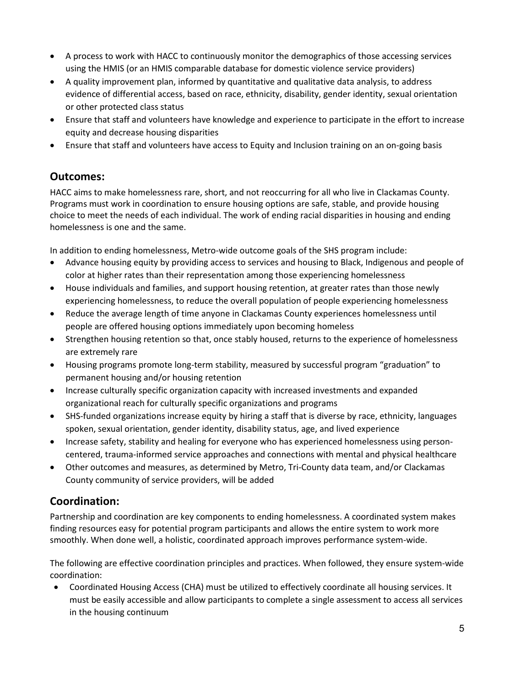- A process to work with HACC to continuously monitor the demographics of those accessing services using the HMIS (or an HMIS comparable database for domestic violence service providers)
- A quality improvement plan, informed by quantitative and qualitative data analysis, to address evidence of differential access, based on race, ethnicity, disability, gender identity, sexual orientation or other protected class status
- Ensure that staff and volunteers have knowledge and experience to participate in the effort to increase equity and decrease housing disparities
- Ensure that staff and volunteers have access to Equity and Inclusion training on an on-going basis

### <span id="page-4-0"></span>**Outcomes:**

HACC aims to make homelessness rare, short, and not reoccurring for all who live in Clackamas County. Programs must work in coordination to ensure housing options are safe, stable, and provide housing choice to meet the needs of each individual. The work of ending racial disparities in housing and ending homelessness is one and the same.

In addition to ending homelessness, Metro-wide outcome goals of the SHS program include:

- Advance housing equity by providing access to services and housing to Black, Indigenous and people of color at higher rates than their representation among those experiencing homelessness
- House individuals and families, and support housing retention, at greater rates than those newly experiencing homelessness, to reduce the overall population of people experiencing homelessness
- Reduce the average length of time anyone in Clackamas County experiences homelessness until people are offered housing options immediately upon becoming homeless
- Strengthen housing retention so that, once stably housed, returns to the experience of homelessness are extremely rare
- Housing programs promote long-term stability, measured by successful program "graduation" to permanent housing and/or housing retention
- Increase culturally specific organization capacity with increased investments and expanded organizational reach for culturally specific organizations and programs
- SHS-funded organizations increase equity by hiring a staff that is diverse by race, ethnicity, languages spoken, sexual orientation, gender identity, disability status, age, and lived experience
- Increase safety, stability and healing for everyone who has experienced homelessness using personcentered, trauma-informed service approaches and connections with mental and physical healthcare
- Other outcomes and measures, as determined by Metro, Tri-County data team, and/or Clackamas County community of service providers, will be added

## <span id="page-4-1"></span>**Coordination:**

Partnership and coordination are key components to ending homelessness. A coordinated system makes finding resources easy for potential program participants and allows the entire system to work more smoothly. When done well, a holistic, coordinated approach improves performance system-wide.

The following are effective coordination principles and practices. When followed, they ensure system-wide coordination:

• Coordinated Housing Access (CHA) must be utilized to effectively coordinate all housing services. It must be easily accessible and allow participants to complete a single assessment to access all services in the housing continuum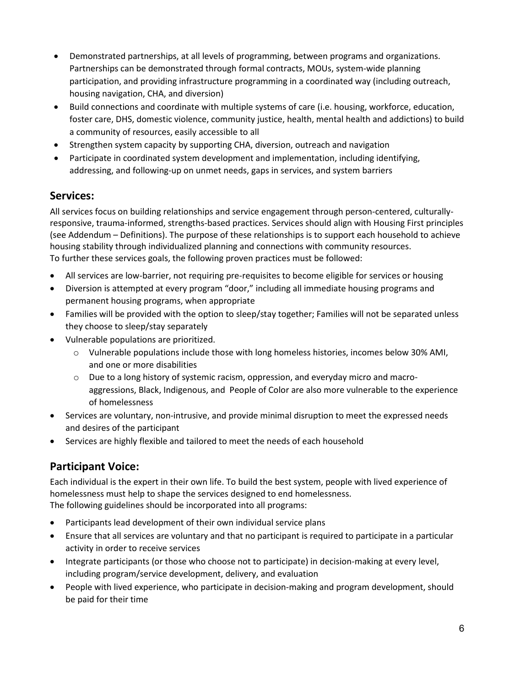- Demonstrated partnerships, at all levels of programming, between programs and organizations. Partnerships can be demonstrated through formal contracts, MOUs, system-wide planning participation, and providing infrastructure programming in a coordinated way (including outreach, housing navigation, CHA, and diversion)
- Build connections and coordinate with multiple systems of care (i.e. housing, workforce, education, foster care, DHS, domestic violence, community justice, health, mental health and addictions) to build a community of resources, easily accessible to all
- Strengthen system capacity by supporting CHA, diversion, outreach and navigation
- Participate in coordinated system development and implementation, including identifying, addressing, and following-up on unmet needs, gaps in services, and system barriers

### <span id="page-5-0"></span>**Services:**

All services focus on building relationships and service engagement through person-centered, culturallyresponsive, trauma-informed, strengths-based practices. Services should align with Housing First principles (see Addendum – Definitions). The purpose of these relationships is to support each household to achieve housing stability through individualized planning and connections with community resources. To further these services goals, the following proven practices must be followed:

- All services are low-barrier, not requiring pre-requisites to become eligible for services or housing
- Diversion is attempted at every program "door," including all immediate housing programs and permanent housing programs, when appropriate
- Families will be provided with the option to sleep/stay together; Families will not be separated unless they choose to sleep/stay separately
- Vulnerable populations are prioritized.
	- o Vulnerable populations include those with long homeless histories, incomes below 30% AMI, and one or more disabilities
	- o Due to a long history of systemic racism, oppression, and everyday micro and macroaggressions, Black, Indigenous, and People of Color are also more vulnerable to the experience of homelessness
- Services are voluntary, non-intrusive, and provide minimal disruption to meet the expressed needs and desires of the participant
- Services are highly flexible and tailored to meet the needs of each household

## <span id="page-5-1"></span>**Participant Voice:**

Each individual is the expert in their own life. To build the best system, people with lived experience of homelessness must help to shape the services designed to end homelessness. The following guidelines should be incorporated into all programs:

- Participants lead development of their own individual service plans
- Ensure that all services are voluntary and that no participant is required to participate in a particular activity in order to receive services
- Integrate participants (or those who choose not to participate) in decision-making at every level, including program/service development, delivery, and evaluation
- People with lived experience, who participate in decision-making and program development, should be paid for their time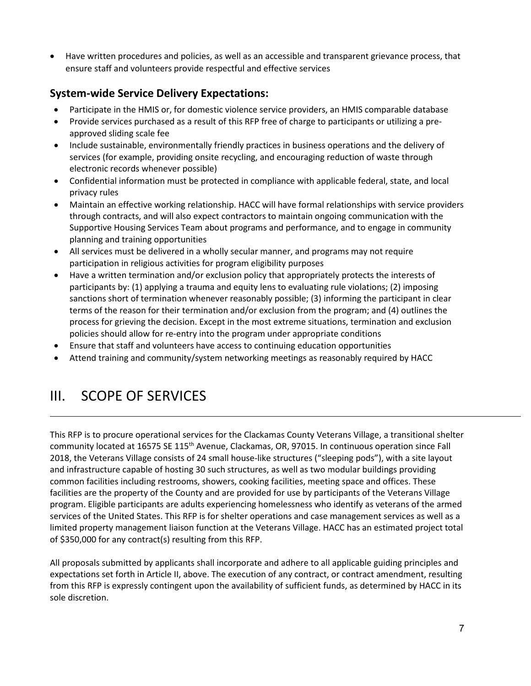• Have written procedures and policies, as well as an accessible and transparent grievance process, that ensure staff and volunteers provide respectful and effective services

## <span id="page-6-0"></span>**System-wide Service Delivery Expectations:**

- Participate in the HMIS or, for domestic violence service providers, an HMIS comparable database
- Provide services purchased as a result of this RFP free of charge to participants or utilizing a preapproved sliding scale fee
- Include sustainable, environmentally friendly practices in business operations and the delivery of services (for example, providing onsite recycling, and encouraging reduction of waste through electronic records whenever possible)
- Confidential information must be protected in compliance with applicable federal, state, and local privacy rules
- Maintain an effective working relationship. HACC will have formal relationships with service providers through contracts, and will also expect contractors to maintain ongoing communication with the Supportive Housing Services Team about programs and performance, and to engage in community planning and training opportunities
- All services must be delivered in a wholly secular manner, and programs may not require participation in religious activities for program eligibility purposes
- Have a written termination and/or exclusion policy that appropriately protects the interests of participants by: (1) applying a trauma and equity lens to evaluating rule violations; (2) imposing sanctions short of termination whenever reasonably possible; (3) informing the participant in clear terms of the reason for their termination and/or exclusion from the program; and (4) outlines the process for grieving the decision. Except in the most extreme situations, termination and exclusion policies should allow for re-entry into the program under appropriate conditions
- Ensure that staff and volunteers have access to continuing education opportunities
- Attend training and community/system networking meetings as reasonably required by HACC

## <span id="page-6-1"></span>III. SCOPE OF SERVICES

This RFP is to procure operational services for the Clackamas County Veterans Village, a transitional shelter community located at 16575 SE 115th Avenue, Clackamas, OR, 97015. In continuous operation since Fall 2018, the Veterans Village consists of 24 small house-like structures ("sleeping pods"), with a site layout and infrastructure capable of hosting 30 such structures, as well as two modular buildings providing common facilities including restrooms, showers, cooking facilities, meeting space and offices. These facilities are the property of the County and are provided for use by participants of the Veterans Village program. Eligible participants are adults experiencing homelessness who identify as veterans of the armed services of the United States. This RFP is for shelter operations and case management services as well as a limited property management liaison function at the Veterans Village. HACC has an estimated project total of \$350,000 for any contract(s) resulting from this RFP.

All proposals submitted by applicants shall incorporate and adhere to all applicable guiding principles and expectations set forth in Article II, above. The execution of any contract, or contract amendment, resulting from this RFP is expressly contingent upon the availability of sufficient funds, as determined by HACC in its sole discretion.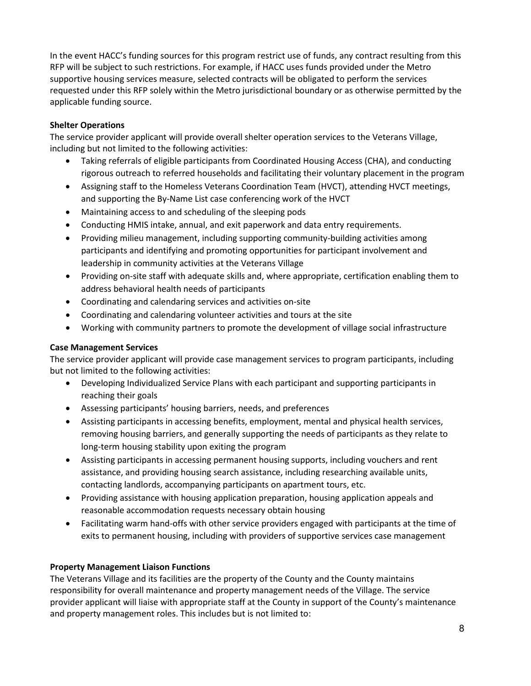In the event HACC's funding sources for this program restrict use of funds, any contract resulting from this RFP will be subject to such restrictions. For example, if HACC uses funds provided under the Metro supportive housing services measure, selected contracts will be obligated to perform the services requested under this RFP solely within the Metro jurisdictional boundary or as otherwise permitted by the applicable funding source.

#### **Shelter Operations**

The service provider applicant will provide overall shelter operation services to the Veterans Village, including but not limited to the following activities:

- Taking referrals of eligible participants from Coordinated Housing Access (CHA), and conducting rigorous outreach to referred households and facilitating their voluntary placement in the program
- Assigning staff to the Homeless Veterans Coordination Team (HVCT), attending HVCT meetings, and supporting the By-Name List case conferencing work of the HVCT
- Maintaining access to and scheduling of the sleeping pods
- Conducting HMIS intake, annual, and exit paperwork and data entry requirements.
- Providing milieu management, including supporting community-building activities among participants and identifying and promoting opportunities for participant involvement and leadership in community activities at the Veterans Village
- Providing on-site staff with adequate skills and, where appropriate, certification enabling them to address behavioral health needs of participants
- Coordinating and calendaring services and activities on-site
- Coordinating and calendaring volunteer activities and tours at the site
- Working with community partners to promote the development of village social infrastructure

#### **Case Management Services**

The service provider applicant will provide case management services to program participants, including but not limited to the following activities:

- Developing Individualized Service Plans with each participant and supporting participants in reaching their goals
- Assessing participants' housing barriers, needs, and preferences
- Assisting participants in accessing benefits, employment, mental and physical health services, removing housing barriers, and generally supporting the needs of participants as they relate to long-term housing stability upon exiting the program
- Assisting participants in accessing permanent housing supports, including vouchers and rent assistance, and providing housing search assistance, including researching available units, contacting landlords, accompanying participants on apartment tours, etc.
- Providing assistance with housing application preparation, housing application appeals and reasonable accommodation requests necessary obtain housing
- Facilitating warm hand-offs with other service providers engaged with participants at the time of exits to permanent housing, including with providers of supportive services case management

#### **Property Management Liaison Functions**

The Veterans Village and its facilities are the property of the County and the County maintains responsibility for overall maintenance and property management needs of the Village. The service provider applicant will liaise with appropriate staff at the County in support of the County's maintenance and property management roles. This includes but is not limited to: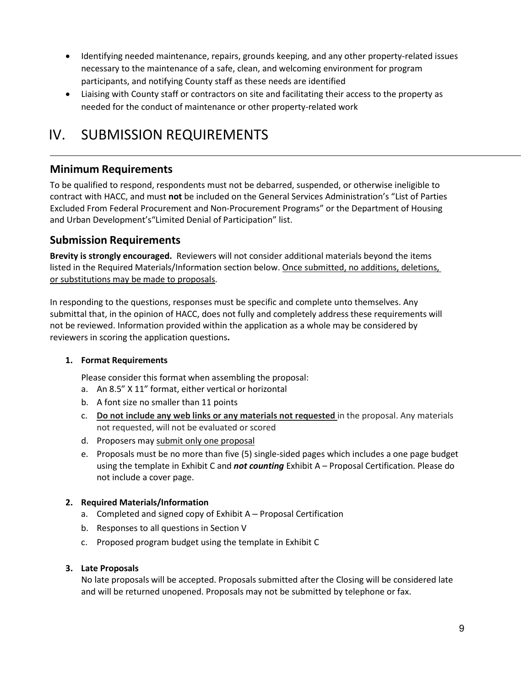- Identifying needed maintenance, repairs, grounds keeping, and any other property-related issues necessary to the maintenance of a safe, clean, and welcoming environment for program participants, and notifying County staff as these needs are identified
- Liaising with County staff or contractors on site and facilitating their access to the property as needed for the conduct of maintenance or other property-related work

## <span id="page-8-0"></span>IV. SUBMISSION REQUIREMENTS

### <span id="page-8-1"></span>**Minimum Requirements**

To be qualified to respond, respondents must not be debarred, suspended, or otherwise ineligible to contract with HACC, and must **not** be included on the General Services Administration's "List of Parties Excluded From Federal Procurement and Non-Procurement Programs" or the Department of Housing and Urban Development's"Limited Denial of Participation" list.

### <span id="page-8-2"></span>**Submission Requirements**

**Brevity is strongly encouraged.** Reviewers will not consider additional materials beyond the items listed in the Required Materials/Information section below. Once submitted, no additions, deletions, or substitutions may be made to proposals.

In responding to the questions, responses must be specific and complete unto themselves. Any submittal that, in the opinion of HACC, does not fully and completely address these requirements will not be reviewed. Information provided within the application as a whole may be considered by reviewers in scoring the application questions**.** 

#### **1. Format Requirements**

Please consider this format when assembling the proposal:

- a. An 8.5" X 11" format, either vertical or horizontal
- b. A font size no smaller than 11 points
- c. **Do not include any web links or any materials not requested** in the proposal. Any materials not requested, will not be evaluated or scored
- d. Proposers may submit only one proposal
- e. Proposals must be no more than five (5) single-sided pages which includes a one page budget using the template in Exhibit C and *not counting* Exhibit A – Proposal Certification. Please do not include a cover page.

#### **2. Required Materials/Information**

- a. Completed and signed copy of Exhibit A Proposal Certification
- b. Responses to all questions in Section V
- c. Proposed program budget using the template in Exhibit C

#### **3. Late Proposals**

No late proposals will be accepted. Proposals submitted after the Closing will be considered late and will be returned unopened. Proposals may not be submitted by telephone or fax.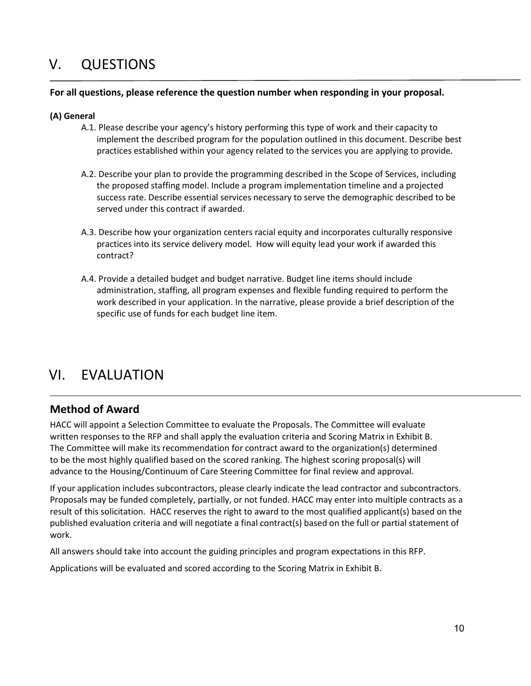## <span id="page-9-0"></span>V. QUESTIONS

#### **For all questions, please reference the question number when responding in your proposal.**

#### **(A) General**

- A.1. Please describe your agency's history performing this type of work and their capacity to implement the described program for the population outlined in this document. Describe best practices established within your agency related to the services you are applying to provide.
- A.2. Describe your plan to provide the programming described in the Scope of Services, including the proposed staffing model. Include a program implementation timeline and a projected success rate. Describe essential services necessary to serve the demographic described to be served under this contract if awarded.
- A.3. Describe how your organization centers racial equity and incorporates culturally responsive practices into its service delivery model. How will equity lead your work if awarded this contract?
- A.4. Provide a detailed budget and budget narrative. Budget line items should include administration, staffing, all program expenses and flexible funding required to perform the work described in your application. In the narrative, please provide a brief description of the specific use of funds for each budget line item.

## <span id="page-9-1"></span>VI. EVALUATION

### <span id="page-9-2"></span>**Method of Award**

HACC will appoint a Selection Committee to evaluate the Proposals. The Committee will evaluate written responses to the RFP and shall apply the evaluation criteria and Scoring Matrix in Exhibit B. The Committee will make its recommendation for contract award to the organization(s) determined to be the most highly qualified based on the scored ranking. The highest scoring proposal(s) will advance to the Housing/Continuum of Care Steering Committee for final review and approval.

If your application includes subcontractors, please clearly indicate the lead contractor and subcontractors. Proposals may be funded completely, partially, or not funded. HACC may enter into multiple contracts as a result of this solicitation. HACC reserves the right to award to the most qualified applicant(s) based on the published evaluation criteria and will negotiate a final contract(s) based on the full or partial statement of work.

All answers should take into account the guiding principles and program expectations in this RFP.

Applications will be evaluated and scored according to the Scoring Matrix in Exhibit B.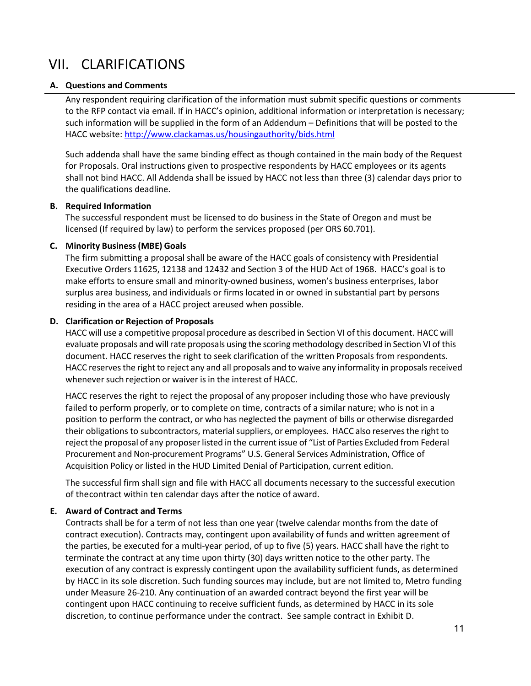## <span id="page-10-0"></span>VII. CLARIFICATIONS

#### **A. Questions and Comments**

Any respondent requiring clarification of the information must submit specific questions or comments to the RFP contact via email. If in HACC's opinion, additional information or interpretation is necessary; such information will be supplied in the form of an Addendum – Definitions that will be posted to the HACC website: <http://www.clackamas.us/housingauthority/bids.html>

Such addenda shall have the same binding effect as though contained in the main body of the Request for Proposals. Oral instructions given to prospective respondents by HACC employees or its agents shall not bind HACC. All Addenda shall be issued by HACC not less than three (3) calendar days prior to the qualifications deadline.

#### **B. Required Information**

The successful respondent must be licensed to do business in the State of Oregon and must be licensed (If required by law) to perform the services proposed (per ORS 60.701).

#### **C. Minority Business(MBE) Goals**

The firm submitting a proposal shall be aware of the HACC goals of consistency with Presidential Executive Orders 11625, 12138 and 12432 and Section 3 of the HUD Act of 1968. HACC's goal is to make efforts to ensure small and minority-owned business, women's business enterprises, labor surplus area business, and individuals or firms located in or owned in substantial part by persons residing in the area of a HACC project areused when possible.

#### **D. Clarification or Rejection of Proposals**

HACC will use a competitive proposal procedure as described in Section VI of this document. HACC will evaluate proposals and will rate proposals using the scoring methodology described in Section VI of this document. HACC reserves the right to seek clarification of the written Proposals from respondents. HACC reserves the right to reject any and all proposals and to waive any informality in proposals received whenever such rejection or waiver is in the interest of HACC.

HACC reserves the right to reject the proposal of any proposer including those who have previously failed to perform properly, or to complete on time, contracts of a similar nature; who is not in a position to perform the contract, or who has neglected the payment of bills or otherwise disregarded their obligations to subcontractors, material suppliers, or employees. HACC also reserves the right to reject the proposal of any proposer listed in the current issue of "List of Parties Excluded from Federal Procurement and Non-procurement Programs" U.S. General Services Administration, Office of Acquisition Policy or listed in the HUD Limited Denial of Participation, current edition.

The successful firm shall sign and file with HACC all documents necessary to the successful execution of the contract within ten calendar days after the notice of award.

#### **E. Award of Contract and Terms**

Contracts shall be for a term of not less than one year (twelve calendar months from the date of contract execution). Contracts may, contingent upon availability of funds and written agreement of the parties, be executed for a multi-year period, of up to five (5) years. HACC shall have the right to terminate the contract at any time upon thirty (30) days written notice to the other party. The execution of any contract is expressly contingent upon the availability sufficient funds, as determined by HACC in its sole discretion. Such funding sources may include, but are not limited to, Metro funding under Measure 26-210. Any continuation of an awarded contract beyond the first year will be contingent upon HACC continuing to receive sufficient funds, as determined by HACC in its sole discretion, to continue performance under the contract. See sample contract in Exhibit D.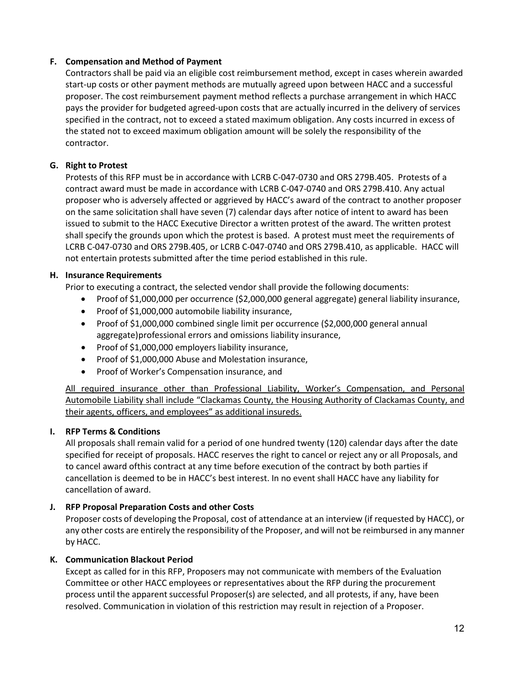#### **F. Compensation and Method of Payment**

Contractors shall be paid via an eligible cost reimbursement method, except in cases wherein awarded start-up costs or other payment methods are mutually agreed upon between HACC and a successful proposer. The cost reimbursement payment method reflects a purchase arrangement in which HACC pays the provider for budgeted agreed-upon costs that are actually incurred in the delivery of services specified in the contract, not to exceed a stated maximum obligation. Any costs incurred in excess of the stated not to exceed maximum obligation amount will be solely the responsibility of the contractor.

#### **G. Right to Protest**

Protests of this RFP must be in accordance with LCRB C-047-0730 and ORS 279B.405. Protests of a contract award must be made in accordance with LCRB C-047-0740 and ORS 279B.410. Any actual proposer who is adversely affected or aggrieved by HACC's award of the contract to another proposer on the same solicitation shall have seven (7) calendar days after notice of intent to award has been issued to submit to the HACC Executive Director a written protest of the award. The written protest shall specify the grounds upon which the protest is based. A protest must meet the requirements of LCRB C-047-0730 and ORS 279B.405, or LCRB C-047-0740 and ORS 279B.410, as applicable. HACC will not entertain protests submitted after the time period established in this rule.

#### **H. Insurance Requirements**

Prior to executing a contract, the selected vendor shall provide the following documents:

- Proof of \$1,000,000 per occurrence (\$2,000,000 general aggregate) general liability insurance,
- Proof of \$1,000,000 automobile liability insurance,
- Proof of \$1,000,000 combined single limit per occurrence (\$2,000,000 general annual aggregate) professional errors and omissions liability insurance,
- Proof of \$1,000,000 employers liability insurance,
- Proof of \$1,000,000 Abuse and Molestation insurance,
- Proof of Worker's Compensation insurance, and

All required insurance other than Professional Liability, Worker's Compensation, and Personal Automobile Liability shall include "Clackamas County, the Housing Authority of Clackamas County, and their agents, officers, and employees" as additional insureds.

#### **I. RFP Terms & Conditions**

All proposals shall remain valid for a period of one hundred twenty (120) calendar days after the date specified for receipt of proposals. HACC reserves the right to cancel or reject any or all Proposals, and to cancel award ofthis contract at any time before execution of the contract by both parties if cancellation is deemed to be in HACC's best interest. In no event shall HACC have any liability for cancellation of award.

#### **J. RFP Proposal Preparation Costs and other Costs**

Proposer costs of developing the Proposal, cost of attendance at an interview (if requested by HACC), or any other costs are entirely the responsibility of the Proposer, and will not be reimbursed in any manner by HACC.

#### **K. Communication Blackout Period**

Except as called for in this RFP, Proposers may not communicate with members of the Evaluation Committee or other HACC employees or representatives about the RFP during the procurement process until the apparent successful Proposer(s) are selected, and all protests, if any, have been resolved. Communication in violation of this restriction may result in rejection of a Proposer.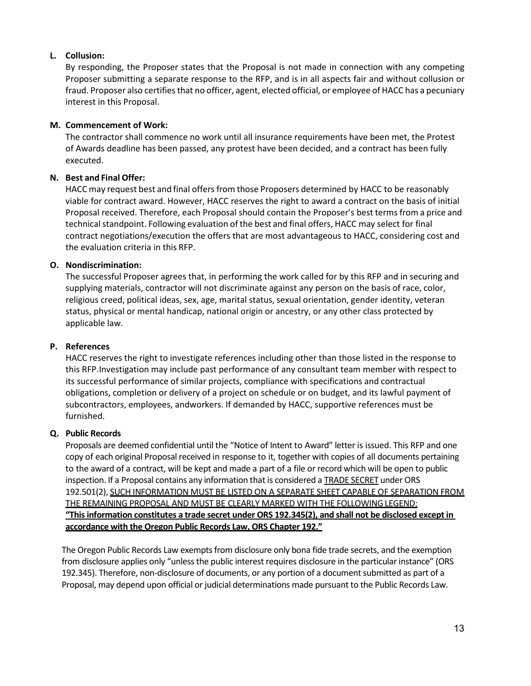#### **L. Collusion:**

By responding, the Proposer states that the Proposal is not made in connection with any competing Proposer submitting a separate response to the RFP, and is in all aspects fair and without collusion or fraud. Proposer also certifies that no officer, agent, elected official, or employee of HACC has a pecuniary interest in this Proposal.

#### **M. Commencement of Work:**

The contractor shall commence no work until all insurance requirements have been met, the Protest of Awards deadline has been passed, any protest have been decided, and a contract has been fully executed.

#### **N. Best and Final Offer:**

HACC may request best and final offers from those Proposers determined by HACC to be reasonably viable for contract award. However, HACC reserves the right to award a contract on the basis of initial Proposal received. Therefore, each Proposal should contain the Proposer's best termsfrom a price and technical standpoint. Following evaluation of the best and final offers, HACC may select for final contract negotiations/execution the offers that are most advantageous to HACC, considering cost and the evaluation criteria in this RFP.

#### **O. Nondiscrimination:**

The successful Proposer agrees that, in performing the work called for by this RFP and in securing and supplying materials, contractor will not discriminate against any person on the basis of race, color, religious creed, political ideas, sex, age, marital status, sexual orientation, gender identity, veteran status, physical or mental handicap, national origin or ancestry, or any other class protected by applicable law.

#### **P. References**

HACC reserves the right to investigate references including other than those listed in the response to this RFP.Investigation may include past performance of any consultant team member with respect to its successful performance of similar projects, compliance with specifications and contractual obligations, completion or delivery of a project on schedule or on budget, and its lawful payment of subcontractors, employees, andworkers. If demanded by HACC, supportive references must be furnished.

#### **Q. Public Records**

Proposals are deemed confidential until the "Notice of Intent to Award" letter is issued. This RFP and one copy of each original Proposal received in response to it, together with copies of all documents pertaining to the award of a contract, will be kept and made a part of a file or record which will be open to public inspection. If a Proposal contains any information that is considered a TRADE SECRET under ORS 192.501(2), SUCH INFORMATION MUST BE LISTED ON A SEPARATE SHEET CAPABLE OF SEPARATION FROM THE REMAINING PROPOSAL AND MUST BE CLEARLY MARKED WITH THE FOLLOWINGLEGEND: **"This information constitutes a trade secret under ORS 192.345(2), and shall not be disclosed except in accordance with the Oregon Public Records Law, ORS Chapter 192."**

The Oregon Public Records Law exempts from disclosure only bona fide trade secrets, and the exemption from disclosure applies only "unless the public interest requires disclosure in the particular instance" (ORS 192.345). Therefore, non-disclosure of documents, or any portion of a document submitted as part of a Proposal, may depend upon official or judicial determinations made pursuant to the Public Records Law.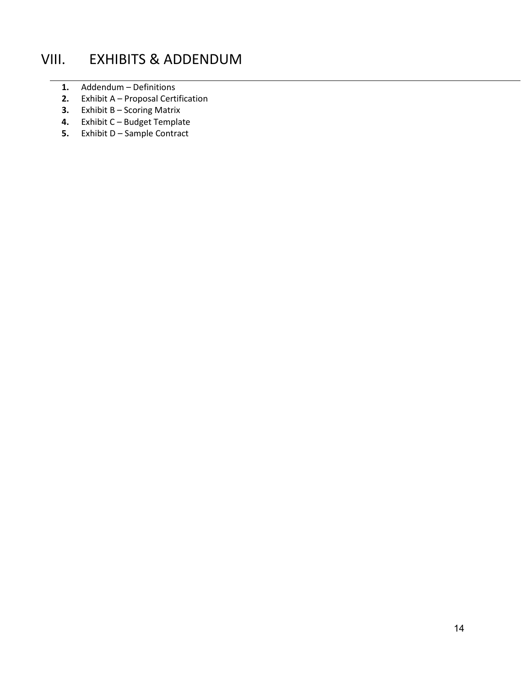## <span id="page-13-0"></span>VIII. EXHIBITS & ADDENDUM

- **1.** Addendum Definitions
- **2.** Exhibit A Proposal Certification
- **3.** Exhibit B Scoring Matrix
- **4.** Exhibit C Budget Template
- **5.** Exhibit D Sample Contract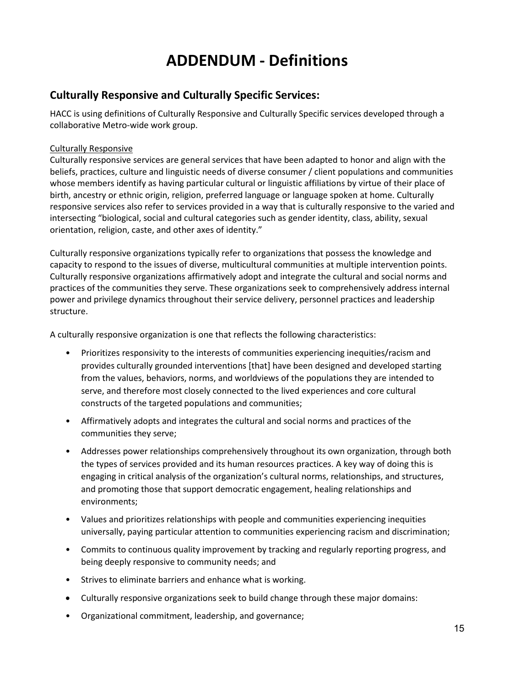## **ADDENDUM - Definitions**

### <span id="page-14-1"></span><span id="page-14-0"></span>**Culturally Responsive and Culturally Specific Services:**

HACC is using definitions of Culturally Responsive and Culturally Specific services developed through a collaborative Metro-wide work group.

#### Culturally Responsive

Culturally responsive services are general services that have been adapted to honor and align with the beliefs, practices, culture and linguistic needs of diverse consumer / client populations and communities whose members identify as having particular cultural or linguistic affiliations by virtue of their place of birth, ancestry or ethnic origin, religion, preferred language or language spoken at home. Culturally responsive services also refer to services provided in a way that is culturally responsive to the varied and intersecting "biological, social and cultural categories such as gender identity, class, ability, sexual orientation, religion, caste, and other axes of identity."

Culturally responsive organizations typically refer to organizations that possess the knowledge and capacity to respond to the issues of diverse, multicultural communities at multiple intervention points. Culturally responsive organizations affirmatively adopt and integrate the cultural and social norms and practices of the communities they serve. These organizations seek to comprehensively address internal power and privilege dynamics throughout their service delivery, personnel practices and leadership structure.

A culturally responsive organization is one that reflects the following characteristics:

- Prioritizes responsivity to the interests of communities experiencing inequities/racism and provides culturally grounded interventions [that] have been designed and developed starting from the values, behaviors, norms, and worldviews of the populations they are intended to serve, and therefore most closely connected to the lived experiences and core cultural constructs of the targeted populations and communities;
- Affirmatively adopts and integrates the cultural and social norms and practices of the communities they serve;
- Addresses power relationships comprehensively throughout its own organization, through both the types of services provided and its human resources practices. A key way of doing this is engaging in critical analysis of the organization's cultural norms, relationships, and structures, and promoting those that support democratic engagement, healing relationships and environments;
- Values and prioritizes relationships with people and communities experiencing inequities universally, paying particular attention to communities experiencing racism and discrimination;
- Commits to continuous quality improvement by tracking and regularly reporting progress, and being deeply responsive to community needs; and
- Strives to eliminate barriers and enhance what is working.
- Culturally responsive organizations seek to build change through these major domains:
- Organizational commitment, leadership, and governance;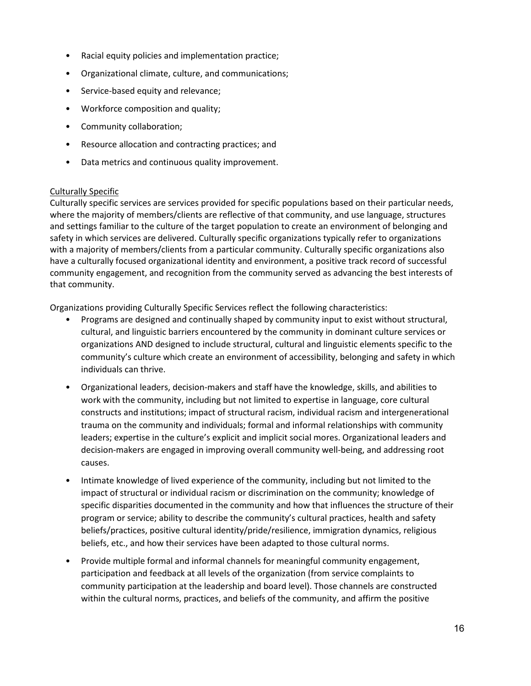- Racial equity policies and implementation practice;
- Organizational climate, culture, and communications;
- Service-based equity and relevance;
- Workforce composition and quality;
- Community collaboration;
- Resource allocation and contracting practices; and
- Data metrics and continuous quality improvement.

#### Culturally Specific

Culturally specific services are services provided for specific populations based on their particular needs, where the majority of members/clients are reflective of that community, and use language, structures and settings familiar to the culture of the target population to create an environment of belonging and safety in which services are delivered. Culturally specific organizations typically refer to organizations with a majority of members/clients from a particular community. Culturally specific organizations also have a culturally focused organizational identity and environment, a positive track record of successful community engagement, and recognition from the community served as advancing the best interests of that community.

Organizations providing Culturally Specific Services reflect the following characteristics:

- Programs are designed and continually shaped by community input to exist without structural, cultural, and linguistic barriers encountered by the community in dominant culture services or organizations AND designed to include structural, cultural and linguistic elements specific to the community's culture which create an environment of accessibility, belonging and safety in which individuals can thrive.
- Organizational leaders, decision-makers and staff have the knowledge, skills, and abilities to work with the community, including but not limited to expertise in language, core cultural constructs and institutions; impact of structural racism, individual racism and intergenerational trauma on the community and individuals; formal and informal relationships with community leaders; expertise in the culture's explicit and implicit social mores. Organizational leaders and decision-makers are engaged in improving overall community well-being, and addressing root causes.
- Intimate knowledge of lived experience of the community, including but not limited to the impact of structural or individual racism or discrimination on the community; knowledge of specific disparities documented in the community and how that influences the structure of their program or service; ability to describe the community's cultural practices, health and safety beliefs/practices, positive cultural identity/pride/resilience, immigration dynamics, religious beliefs, etc., and how their services have been adapted to those cultural norms.
- Provide multiple formal and informal channels for meaningful community engagement, participation and feedback at all levels of the organization (from service complaints to community participation at the leadership and board level). Those channels are constructed within the cultural norms, practices, and beliefs of the community, and affirm the positive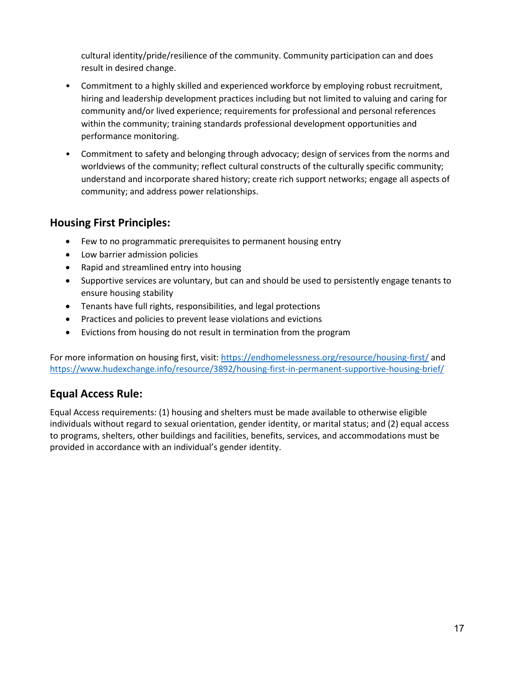cultural identity/pride/resilience of the community. Community participation can and does result in desired change.

- Commitment to a highly skilled and experienced workforce by employing robust recruitment, hiring and leadership development practices including but not limited to valuing and caring for community and/or lived experience; requirements for professional and personal references within the community; training standards professional development opportunities and performance monitoring.
- Commitment to safety and belonging through advocacy; design of services from the norms and worldviews of the community; reflect cultural constructs of the culturally specific community; understand and incorporate shared history; create rich support networks; engage all aspects of community; and address power relationships.

### <span id="page-16-0"></span>**Housing First Principles:**

- Few to no programmatic prerequisites to permanent housing entry
- Low barrier admission policies
- Rapid and streamlined entry into housing
- Supportive services are voluntary, but can and should be used to persistently engage tenants to ensure housing stability
- Tenants have full rights, responsibilities, and legal protections
- Practices and policies to prevent lease violations and evictions
- Evictions from housing do not result in termination from the program

For more information on housing first, visit:<https://endhomelessness.org/resource/housing-first/> and <https://www.hudexchange.info/resource/3892/housing-first-in-permanent-supportive-housing-brief/>

## <span id="page-16-1"></span>**Equal Access Rule:**

Equal Access requirements: (1) housing and shelters must be made available to otherwise eligible individuals without regard to sexual orientation, gender identity, or marital status; and (2) equal access to programs, shelters, other buildings and facilities, benefits, services, and accommodations must be provided in accordance with an individual's gender identity.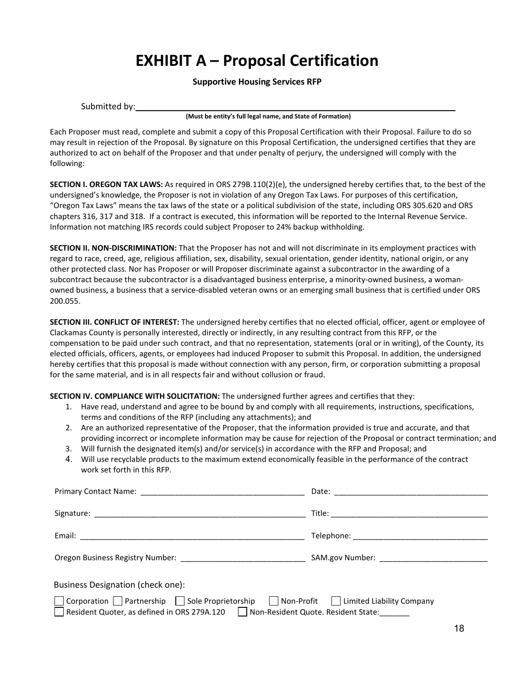## **EXHIBIT A – Proposal Certification**

#### **Supportive Housing Services RFP**

<span id="page-17-0"></span>

| Submitted by: |  |  |  |
|---------------|--|--|--|
|---------------|--|--|--|

**(Must be entity's full legal name, and State of Formation)**

Each Proposer must read, complete and submit a copy of this Proposal Certification with their Proposal. Failure to do so may result in rejection of the Proposal. By signature on this Proposal Certification, the undersigned certifies that they are authorized to act on behalf of the Proposer and that under penalty of perjury, the undersigned will comply with the following:

**SECTION I. OREGON TAX LAWS:** As required in ORS 279B.110(2)(e), the undersigned hereby certifies that, to the best of the undersigned's knowledge, the Proposer is not in violation of any Oregon Tax Laws. For purposes of this certification, "Oregon Tax Laws" means the tax laws of the state or a political subdivision of the state, including ORS 305.620 and ORS chapters 316, 317 and 318. If a contract is executed, this information will be reported to the Internal Revenue Service. Information not matching IRS records could subject Proposer to 24% backup withholding.

**SECTION II. NON-DISCRIMINATION:** That the Proposer has not and will not discriminate in its employment practices with regard to race, creed, age, religious affiliation, sex, disability, sexual orientation, gender identity, national origin, or any other protected class. Nor has Proposer or will Proposer discriminate against a subcontractor in the awarding of a subcontract because the subcontractor is a disadvantaged business enterprise, a minority-owned business, a womanowned business, a business that a service-disabled veteran owns or an emerging small business that is certified under ORS 200.055.

**SECTION III. CONFLICT OF INTEREST:** The undersigned hereby certifies that no elected official, officer, agent or employee of Clackamas County is personally interested, directly or indirectly, in any resulting contract from this RFP, or the compensation to be paid under such contract, and that no representation, statements (oral or in writing), of the County, its elected officials, officers, agents, or employees had induced Proposer to submit this Proposal. In addition, the undersigned hereby certifies that this proposal is made without connection with any person, firm, or corporation submitting a proposal for the same material, and is in all respects fair and without collusion or fraud.

**SECTION IV. COMPLIANCE WITH SOLICITATION:** The undersigned further agrees and certifies that they:

- 1. Have read, understand and agree to be bound by and comply with all requirements, instructions, specifications, terms and conditions of the RFP (including any attachments); and
- 2. Are an authorized representative of the Proposer, that the information provided is true and accurate, and that providing incorrect or incomplete information may be cause for rejection of the Proposal or contract termination; and
- 3. Will furnish the designated item(s) and/or service(s) in accordance with the RFP and Proposal; and
- 4. Will use recyclable products to the maximum extend economically feasible in the performance of the contract work set forth in this RFP.

| <b>Business Designation (check one):</b>                                                   |  |
|--------------------------------------------------------------------------------------------|--|
| □ Corporation □ Partnership □ Sole Proprietorship □ Non-Profit □ Limited Liability Company |  |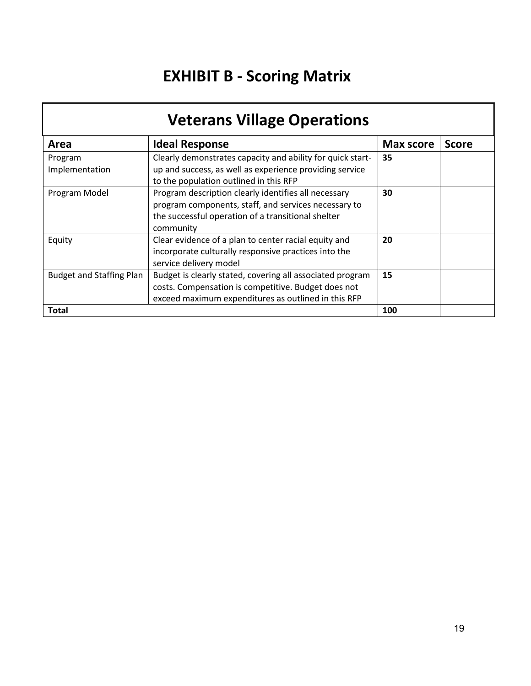# **EXHIBIT B - Scoring Matrix**

<span id="page-18-0"></span>

| <b>Veterans Village Operations</b> |                                                                                                                                                                                 |                  |              |
|------------------------------------|---------------------------------------------------------------------------------------------------------------------------------------------------------------------------------|------------------|--------------|
| Area                               | <b>Ideal Response</b>                                                                                                                                                           | <b>Max score</b> | <b>Score</b> |
| Program<br>Implementation          | Clearly demonstrates capacity and ability for quick start-<br>up and success, as well as experience providing service<br>to the population outlined in this RFP                 | 35               |              |
| Program Model                      | Program description clearly identifies all necessary<br>program components, staff, and services necessary to<br>the successful operation of a transitional shelter<br>community | 30               |              |
| Equity                             | Clear evidence of a plan to center racial equity and<br>incorporate culturally responsive practices into the<br>service delivery model                                          | 20               |              |
| <b>Budget and Staffing Plan</b>    | Budget is clearly stated, covering all associated program<br>costs. Compensation is competitive. Budget does not<br>exceed maximum expenditures as outlined in this RFP         | 15               |              |
| Total                              |                                                                                                                                                                                 | 100              |              |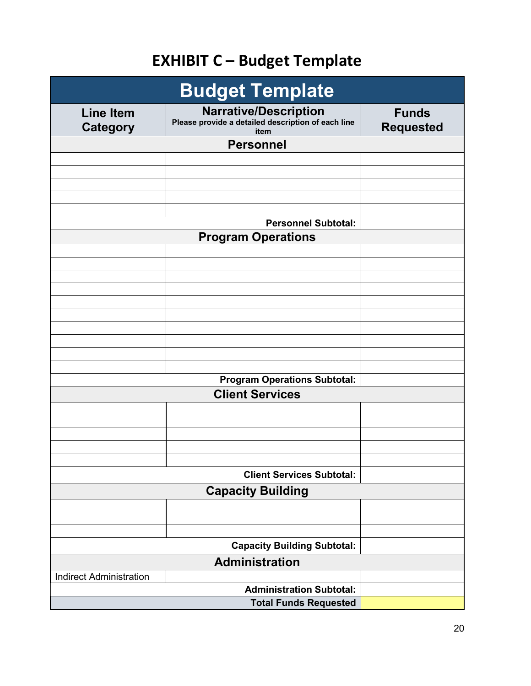# **EXHIBIT C – Budget Template**

<span id="page-19-0"></span>

| <b>Budget Template</b>              |                                                                                            |                                  |  |
|-------------------------------------|--------------------------------------------------------------------------------------------|----------------------------------|--|
| <b>Line Item</b><br><b>Category</b> | <b>Narrative/Description</b><br>Please provide a detailed description of each line<br>item | <b>Funds</b><br><b>Requested</b> |  |
|                                     | <b>Personnel</b>                                                                           |                                  |  |
|                                     |                                                                                            |                                  |  |
|                                     |                                                                                            |                                  |  |
|                                     |                                                                                            |                                  |  |
|                                     |                                                                                            |                                  |  |
|                                     | <b>Personnel Subtotal:</b>                                                                 |                                  |  |
|                                     | <b>Program Operations</b>                                                                  |                                  |  |
|                                     |                                                                                            |                                  |  |
|                                     |                                                                                            |                                  |  |
|                                     |                                                                                            |                                  |  |
|                                     |                                                                                            |                                  |  |
|                                     |                                                                                            |                                  |  |
|                                     |                                                                                            |                                  |  |
|                                     |                                                                                            |                                  |  |
|                                     |                                                                                            |                                  |  |
|                                     |                                                                                            |                                  |  |
|                                     | <b>Program Operations Subtotal:</b>                                                        |                                  |  |
|                                     | <b>Client Services</b>                                                                     |                                  |  |
|                                     |                                                                                            |                                  |  |
|                                     |                                                                                            |                                  |  |
|                                     |                                                                                            |                                  |  |
|                                     |                                                                                            |                                  |  |
|                                     |                                                                                            |                                  |  |
|                                     | <b>Client Services Subtotal:</b>                                                           |                                  |  |
|                                     | <b>Capacity Building</b>                                                                   |                                  |  |
|                                     |                                                                                            |                                  |  |
|                                     |                                                                                            |                                  |  |
|                                     | <b>Capacity Building Subtotal:</b>                                                         |                                  |  |
|                                     |                                                                                            |                                  |  |
| <b>Indirect Administration</b>      | <b>Administration</b>                                                                      |                                  |  |
|                                     | <b>Administration Subtotal:</b>                                                            |                                  |  |
|                                     | <b>Total Funds Requested</b>                                                               |                                  |  |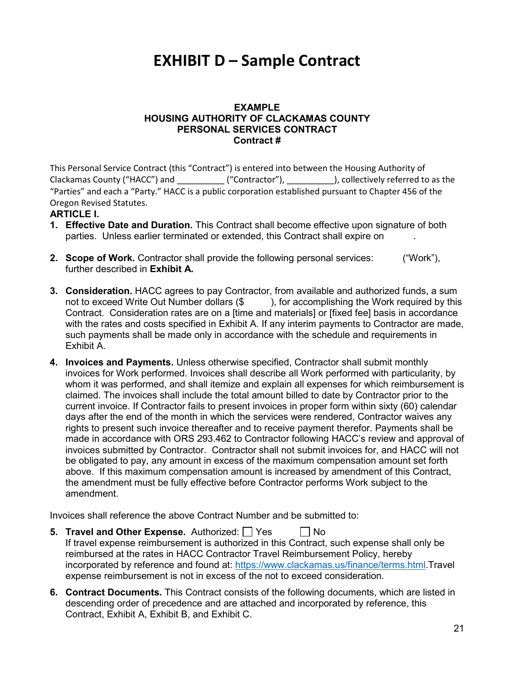## <span id="page-20-0"></span>**EXHIBIT D – Sample Contract**

#### **EXAMPLE HOUSING AUTHORITY OF CLACKAMAS COUNTY PERSONAL SERVICES CONTRACT Contract #**

This Personal Service Contract (this "Contract") is entered into between the Housing Authority of Clackamas County ("HACC") and  $($ "Contractor"),  $)$ , collectively referred to as the "Parties" and each a "Party." HACC is a public corporation established pursuant to Chapter 456 of the Oregon Revised Statutes.

#### **ARTICLE I.**

- **1. Effective Date and Duration.** This Contract shall become effective upon signature of both parties. Unless earlier terminated or extended, this Contract shall expire on .
- **2. Scope of Work.** Contractor shall provide the following personal services: ("Work"), further described in **Exhibit A.**
- **3. Consideration.** HACC agrees to pay Contractor, from available and authorized funds, a sum not to exceed Write Out Number dollars (\$) b. for accomplishing the Work required by this Contract. Consideration rates are on a [time and materials] or [fixed fee] basis in accordance with the rates and costs specified in Exhibit A. If any interim payments to Contractor are made, such payments shall be made only in accordance with the schedule and requirements in Exhibit A.
- **4. Invoices and Payments.** Unless otherwise specified, Contractor shall submit monthly invoices for Work performed. Invoices shall describe all Work performed with particularity, by whom it was performed, and shall itemize and explain all expenses for which reimbursement is claimed. The invoices shall include the total amount billed to date by Contractor prior to the current invoice. If Contractor fails to present invoices in proper form within sixty (60) calendar days after the end of the month in which the services were rendered, Contractor waives any rights to present such invoice thereafter and to receive payment therefor. Payments shall be made in accordance with ORS 293.462 to Contractor following HACC's review and approval of invoices submitted by Contractor. Contractor shall not submit invoices for, and HACC will not be obligated to pay, any amount in excess of the maximum compensation amount set forth above. If this maximum compensation amount is increased by amendment of this Contract, the amendment must be fully effective before Contractor performs Work subject to the amendment.

Invoices shall reference the above Contract Number and be submitted to:

- **5. Travel and Other Expense.** Authorized:  $\Box$  Yes  $\Box$  No If travel expense reimbursement is authorized in this Contract, such expense shall only be reimbursed at the rates in HACC Contractor Travel Reimbursement Policy, hereby incorporated by reference and found at: [https://www.clackamas.us/finance/terms.html.](https://www.clackamas.us/finance/terms.html)Travel expense reimbursement is not in excess of the not to exceed consideration.
- **6. Contract Documents.** This Contract consists of the following documents, which are listed in descending order of precedence and are attached and incorporated by reference, this Contract, Exhibit A, Exhibit B, and Exhibit C.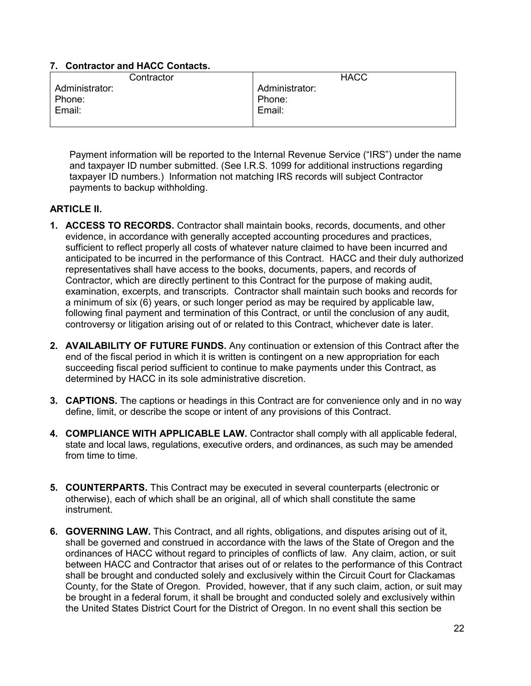#### **7. Contractor and HACC Contacts.**

| Contractor     | <b>HACC</b>    |
|----------------|----------------|
| Administrator: | Administrator: |
| Phone:         | Phone:         |
| Email:         | Email:         |
|                |                |

Payment information will be reported to the Internal Revenue Service ("IRS") under the name and taxpayer ID number submitted. (See I.R.S. 1099 for additional instructions regarding taxpayer ID numbers.) Information not matching IRS records will subject Contractor payments to backup withholding.

#### **ARTICLE II.**

- **1. ACCESS TO RECORDS.** Contractor shall maintain books, records, documents, and other evidence, in accordance with generally accepted accounting procedures and practices, sufficient to reflect properly all costs of whatever nature claimed to have been incurred and anticipated to be incurred in the performance of this Contract. HACC and their duly authorized representatives shall have access to the books, documents, papers, and records of Contractor, which are directly pertinent to this Contract for the purpose of making audit, examination, excerpts, and transcripts. Contractor shall maintain such books and records for a minimum of six (6) years, or such longer period as may be required by applicable law, following final payment and termination of this Contract, or until the conclusion of any audit, controversy or litigation arising out of or related to this Contract, whichever date is later.
- **2. AVAILABILITY OF FUTURE FUNDS.** Any continuation or extension of this Contract after the end of the fiscal period in which it is written is contingent on a new appropriation for each succeeding fiscal period sufficient to continue to make payments under this Contract, as determined by HACC in its sole administrative discretion.
- **3. CAPTIONS.** The captions or headings in this Contract are for convenience only and in no way define, limit, or describe the scope or intent of any provisions of this Contract.
- **4. COMPLIANCE WITH APPLICABLE LAW.** Contractor shall comply with all applicable federal, state and local laws, regulations, executive orders, and ordinances, as such may be amended from time to time.
- **5. COUNTERPARTS.** This Contract may be executed in several counterparts (electronic or otherwise), each of which shall be an original, all of which shall constitute the same instrument.
- **6. GOVERNING LAW.** This Contract, and all rights, obligations, and disputes arising out of it, shall be governed and construed in accordance with the laws of the State of Oregon and the ordinances of HACC without regard to principles of conflicts of law. Any claim, action, or suit between HACC and Contractor that arises out of or relates to the performance of this Contract shall be brought and conducted solely and exclusively within the Circuit Court for Clackamas County, for the State of Oregon. Provided, however, that if any such claim, action, or suit may be brought in a federal forum, it shall be brought and conducted solely and exclusively within the United States District Court for the District of Oregon. In no event shall this section be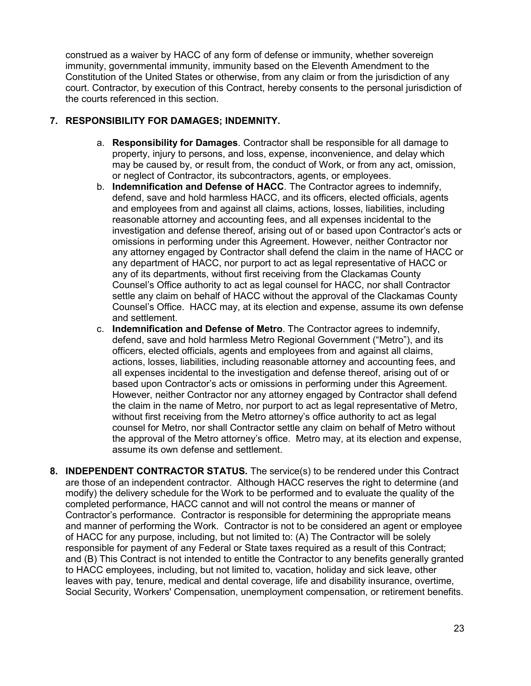construed as a waiver by HACC of any form of defense or immunity, whether sovereign immunity, governmental immunity, immunity based on the Eleventh Amendment to the Constitution of the United States or otherwise, from any claim or from the jurisdiction of any court. Contractor, by execution of this Contract, hereby consents to the personal jurisdiction of the courts referenced in this section.

#### **7. RESPONSIBILITY FOR DAMAGES; INDEMNITY.**

- a. **Responsibility for Damages**. Contractor shall be responsible for all damage to property, injury to persons, and loss, expense, inconvenience, and delay which may be caused by, or result from, the conduct of Work, or from any act, omission, or neglect of Contractor, its subcontractors, agents, or employees.
- b. **Indemnification and Defense of HACC**. The Contractor agrees to indemnify, defend, save and hold harmless HACC, and its officers, elected officials, agents and employees from and against all claims, actions, losses, liabilities, including reasonable attorney and accounting fees, and all expenses incidental to the investigation and defense thereof, arising out of or based upon Contractor's acts or omissions in performing under this Agreement. However, neither Contractor nor any attorney engaged by Contractor shall defend the claim in the name of HACC or any department of HACC, nor purport to act as legal representative of HACC or any of its departments, without first receiving from the Clackamas County Counsel's Office authority to act as legal counsel for HACC, nor shall Contractor settle any claim on behalf of HACC without the approval of the Clackamas County Counsel's Office. HACC may, at its election and expense, assume its own defense and settlement.
- c. **Indemnification and Defense of Metro**. The Contractor agrees to indemnify, defend, save and hold harmless Metro Regional Government ("Metro"), and its officers, elected officials, agents and employees from and against all claims, actions, losses, liabilities, including reasonable attorney and accounting fees, and all expenses incidental to the investigation and defense thereof, arising out of or based upon Contractor's acts or omissions in performing under this Agreement. However, neither Contractor nor any attorney engaged by Contractor shall defend the claim in the name of Metro, nor purport to act as legal representative of Metro, without first receiving from the Metro attorney's office authority to act as legal counsel for Metro, nor shall Contractor settle any claim on behalf of Metro without the approval of the Metro attorney's office. Metro may, at its election and expense, assume its own defense and settlement.
- **8. INDEPENDENT CONTRACTOR STATUS.** The service(s) to be rendered under this Contract are those of an independent contractor. Although HACC reserves the right to determine (and modify) the delivery schedule for the Work to be performed and to evaluate the quality of the completed performance, HACC cannot and will not control the means or manner of Contractor's performance. Contractor is responsible for determining the appropriate means and manner of performing the Work. Contractor is not to be considered an agent or employee of HACC for any purpose, including, but not limited to: (A) The Contractor will be solely responsible for payment of any Federal or State taxes required as a result of this Contract; and (B) This Contract is not intended to entitle the Contractor to any benefits generally granted to HACC employees, including, but not limited to, vacation, holiday and sick leave, other leaves with pay, tenure, medical and dental coverage, life and disability insurance, overtime, Social Security, Workers' Compensation, unemployment compensation, or retirement benefits.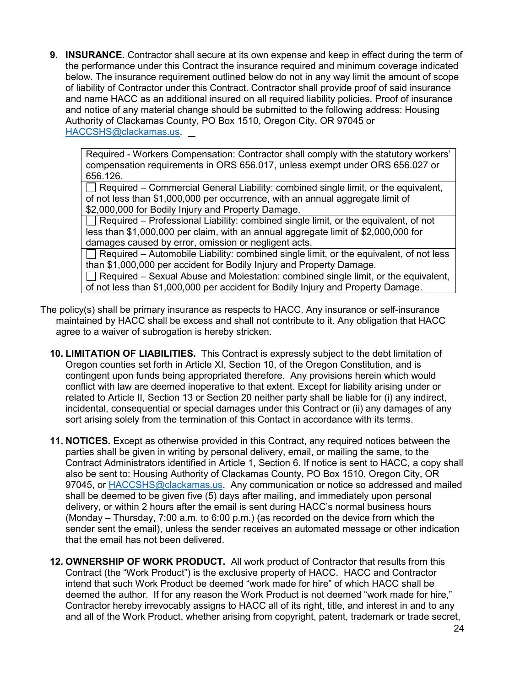**9. INSURANCE.** Contractor shall secure at its own expense and keep in effect during the term of the performance under this Contract the insurance required and minimum coverage indicated below. The insurance requirement outlined below do not in any way limit the amount of scope of liability of Contractor under this Contract. Contractor shall provide proof of said insurance and name HACC as an additional insured on all required liability policies. Proof of insurance and notice of any material change should be submitted to the following address: Housing Authority of Clackamas County, PO Box 1510, Oregon City, OR 97045 or [HACCSHS@clackamas.us.](mailto:HACCSHS@clackamas.us)

Required - Workers Compensation: Contractor shall comply with the statutory workers' compensation requirements in ORS 656.017, unless exempt under ORS 656.027 or 656.126.

 $\Box$  Required – Commercial General Liability: combined single limit, or the equivalent, of not less than \$1,000,000 per occurrence, with an annual aggregate limit of \$2,000,000 for Bodily Injury and Property Damage.

Required – Professional Liability: combined single limit, or the equivalent, of not less than \$1,000,000 per claim, with an annual aggregate limit of \$2,000,000 for damages caused by error, omission or negligent acts.

 $\Box$  Required – Automobile Liability: combined single limit, or the equivalent, of not less than \$1,000,000 per accident for Bodily Injury and Property Damage.

 $\Box$  Required – Sexual Abuse and Molestation: combined single limit, or the equivalent, of not less than \$1,000,000 per accident for Bodily Injury and Property Damage.

- The policy(s) shall be primary insurance as respects to HACC. Any insurance or self-insurance maintained by HACC shall be excess and shall not contribute to it. Any obligation that HACC agree to a waiver of subrogation is hereby stricken.
	- **10. LIMITATION OF LIABILITIES.** This Contract is expressly subject to the debt limitation of Oregon counties set forth in Article XI, Section 10, of the Oregon Constitution, and is contingent upon funds being appropriated therefore. Any provisions herein which would conflict with law are deemed inoperative to that extent. Except for liability arising under or related to Article II, Section 13 or Section 20 neither party shall be liable for (i) any indirect, incidental, consequential or special damages under this Contract or (ii) any damages of any sort arising solely from the termination of this Contact in accordance with its terms.
	- **11. NOTICES.** Except as otherwise provided in this Contract, any required notices between the parties shall be given in writing by personal delivery, email, or mailing the same, to the Contract Administrators identified in Article 1, Section 6. If notice is sent to HACC, a copy shall also be sent to: Housing Authority of Clackamas County, PO Box 1510, Oregon City, OR 97045, or **HACCSHS@clackamas.us.** Any communication or notice so addressed and mailed shall be deemed to be given five (5) days after mailing, and immediately upon personal delivery, or within 2 hours after the email is sent during HACC's normal business hours (Monday – Thursday, 7:00 a.m. to 6:00 p.m.) (as recorded on the device from which the sender sent the email), unless the sender receives an automated message or other indication that the email has not been delivered.
	- **12. OWNERSHIP OF WORK PRODUCT.** All work product of Contractor that results from this Contract (the "Work Product") is the exclusive property of HACC. HACC and Contractor intend that such Work Product be deemed "work made for hire" of which HACC shall be deemed the author. If for any reason the Work Product is not deemed "work made for hire," Contractor hereby irrevocably assigns to HACC all of its right, title, and interest in and to any and all of the Work Product, whether arising from copyright, patent, trademark or trade secret,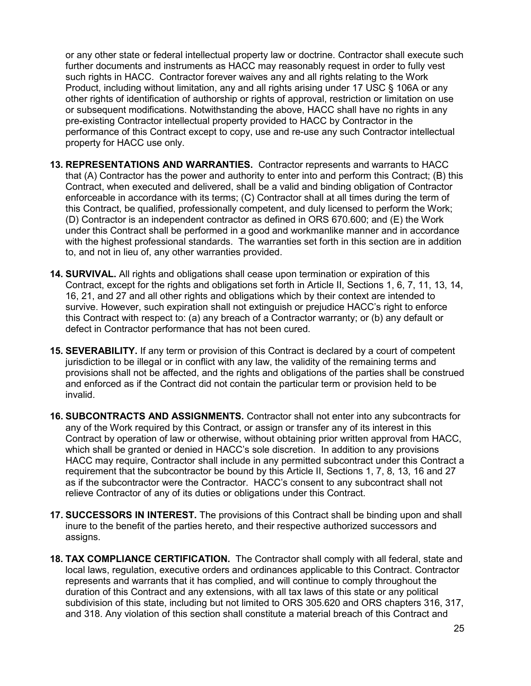or any other state or federal intellectual property law or doctrine. Contractor shall execute such further documents and instruments as HACC may reasonably request in order to fully vest such rights in HACC. Contractor forever waives any and all rights relating to the Work Product, including without limitation, any and all rights arising under 17 USC § 106A or any other rights of identification of authorship or rights of approval, restriction or limitation on use or subsequent modifications. Notwithstanding the above, HACC shall have no rights in any pre-existing Contractor intellectual property provided to HACC by Contractor in the performance of this Contract except to copy, use and re-use any such Contractor intellectual property for HACC use only.

- **13. REPRESENTATIONS AND WARRANTIES.** Contractor represents and warrants to HACC that (A) Contractor has the power and authority to enter into and perform this Contract; (B) this Contract, when executed and delivered, shall be a valid and binding obligation of Contractor enforceable in accordance with its terms; (C) Contractor shall at all times during the term of this Contract, be qualified, professionally competent, and duly licensed to perform the Work; (D) Contractor is an independent contractor as defined in ORS 670.600; and (E) the Work under this Contract shall be performed in a good and workmanlike manner and in accordance with the highest professional standards. The warranties set forth in this section are in addition to, and not in lieu of, any other warranties provided.
- **14. SURVIVAL.** All rights and obligations shall cease upon termination or expiration of this Contract, except for the rights and obligations set forth in Article II, Sections 1, 6, 7, 11, 13, 14, 16, 21, and 27 and all other rights and obligations which by their context are intended to survive. However, such expiration shall not extinguish or prejudice HACC's right to enforce this Contract with respect to: (a) any breach of a Contractor warranty; or (b) any default or defect in Contractor performance that has not been cured.
- **15. SEVERABILITY.** If any term or provision of this Contract is declared by a court of competent jurisdiction to be illegal or in conflict with any law, the validity of the remaining terms and provisions shall not be affected, and the rights and obligations of the parties shall be construed and enforced as if the Contract did not contain the particular term or provision held to be invalid.
- **16. SUBCONTRACTS AND ASSIGNMENTS.** Contractor shall not enter into any subcontracts for any of the Work required by this Contract, or assign or transfer any of its interest in this Contract by operation of law or otherwise, without obtaining prior written approval from HACC, which shall be granted or denied in HACC's sole discretion. In addition to any provisions HACC may require, Contractor shall include in any permitted subcontract under this Contract a requirement that the subcontractor be bound by this Article II, Sections 1, 7, 8, 13, 16 and 27 as if the subcontractor were the Contractor. HACC's consent to any subcontract shall not relieve Contractor of any of its duties or obligations under this Contract.
- **17. SUCCESSORS IN INTEREST.** The provisions of this Contract shall be binding upon and shall inure to the benefit of the parties hereto, and their respective authorized successors and assigns.
- **18. TAX COMPLIANCE CERTIFICATION.** The Contractor shall comply with all federal, state and local laws, regulation, executive orders and ordinances applicable to this Contract. Contractor represents and warrants that it has complied, and will continue to comply throughout the duration of this Contract and any extensions, with all tax laws of this state or any political subdivision of this state, including but not limited to ORS 305.620 and ORS chapters 316, 317, and 318. Any violation of this section shall constitute a material breach of this Contract and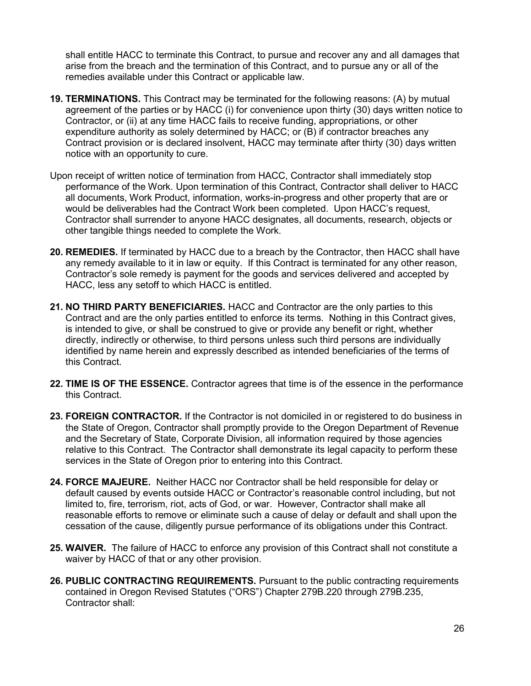shall entitle HACC to terminate this Contract, to pursue and recover any and all damages that arise from the breach and the termination of this Contract, and to pursue any or all of the remedies available under this Contract or applicable law.

- **19. TERMINATIONS.** This Contract may be terminated for the following reasons: (A) by mutual agreement of the parties or by HACC (i) for convenience upon thirty (30) days written notice to Contractor, or (ii) at any time HACC fails to receive funding, appropriations, or other expenditure authority as solely determined by HACC; or (B) if contractor breaches any Contract provision or is declared insolvent, HACC may terminate after thirty (30) days written notice with an opportunity to cure.
- Upon receipt of written notice of termination from HACC, Contractor shall immediately stop performance of the Work. Upon termination of this Contract, Contractor shall deliver to HACC all documents, Work Product, information, works-in-progress and other property that are or would be deliverables had the Contract Work been completed. Upon HACC's request, Contractor shall surrender to anyone HACC designates, all documents, research, objects or other tangible things needed to complete the Work.
- **20. REMEDIES.** If terminated by HACC due to a breach by the Contractor, then HACC shall have any remedy available to it in law or equity. If this Contract is terminated for any other reason, Contractor's sole remedy is payment for the goods and services delivered and accepted by HACC, less any setoff to which HACC is entitled.
- **21. NO THIRD PARTY BENEFICIARIES.** HACC and Contractor are the only parties to this Contract and are the only parties entitled to enforce its terms. Nothing in this Contract gives, is intended to give, or shall be construed to give or provide any benefit or right, whether directly, indirectly or otherwise, to third persons unless such third persons are individually identified by name herein and expressly described as intended beneficiaries of the terms of this Contract.
- **22. TIME IS OF THE ESSENCE.** Contractor agrees that time is of the essence in the performance this Contract.
- **23. FOREIGN CONTRACTOR.** If the Contractor is not domiciled in or registered to do business in the State of Oregon, Contractor shall promptly provide to the Oregon Department of Revenue and the Secretary of State, Corporate Division, all information required by those agencies relative to this Contract. The Contractor shall demonstrate its legal capacity to perform these services in the State of Oregon prior to entering into this Contract.
- **24. FORCE MAJEURE.** Neither HACC nor Contractor shall be held responsible for delay or default caused by events outside HACC or Contractor's reasonable control including, but not limited to, fire, terrorism, riot, acts of God, or war. However, Contractor shall make all reasonable efforts to remove or eliminate such a cause of delay or default and shall upon the cessation of the cause, diligently pursue performance of its obligations under this Contract.
- **25. WAIVER.** The failure of HACC to enforce any provision of this Contract shall not constitute a waiver by HACC of that or any other provision.
- **26. PUBLIC CONTRACTING REQUIREMENTS.** Pursuant to the public contracting requirements contained in Oregon Revised Statutes ("ORS") Chapter 279B.220 through 279B.235, Contractor shall: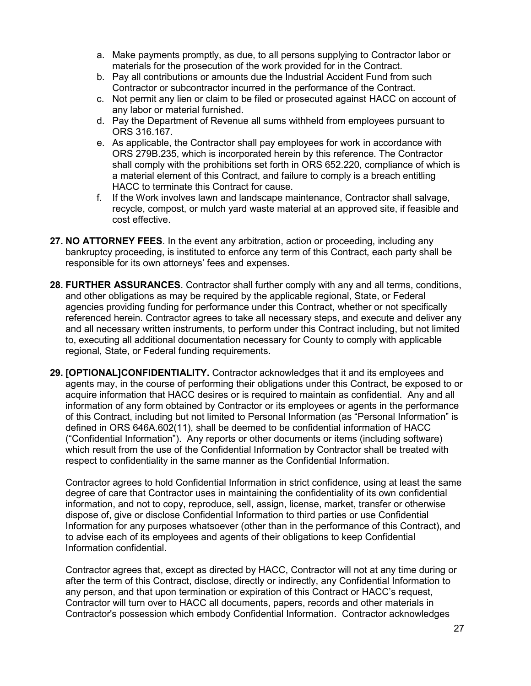- a. Make payments promptly, as due, to all persons supplying to Contractor labor or materials for the prosecution of the work provided for in the Contract.
- b. Pay all contributions or amounts due the Industrial Accident Fund from such Contractor or subcontractor incurred in the performance of the Contract.
- c. Not permit any lien or claim to be filed or prosecuted against HACC on account of any labor or material furnished.
- d. Pay the Department of Revenue all sums withheld from employees pursuant to ORS 316.167.
- e. As applicable, the Contractor shall pay employees for work in accordance with ORS 279B.235, which is incorporated herein by this reference. The Contractor shall comply with the prohibitions set forth in ORS 652.220, compliance of which is a material element of this Contract, and failure to comply is a breach entitling HACC to terminate this Contract for cause.
- f. If the Work involves lawn and landscape maintenance, Contractor shall salvage, recycle, compost, or mulch yard waste material at an approved site, if feasible and cost effective.
- **27. NO ATTORNEY FEES**. In the event any arbitration, action or proceeding, including any bankruptcy proceeding, is instituted to enforce any term of this Contract, each party shall be responsible for its own attorneys' fees and expenses.
- **28. FURTHER ASSURANCES**. Contractor shall further comply with any and all terms, conditions, and other obligations as may be required by the applicable regional, State, or Federal agencies providing funding for performance under this Contract, whether or not specifically referenced herein. Contractor agrees to take all necessary steps, and execute and deliver any and all necessary written instruments, to perform under this Contract including, but not limited to, executing all additional documentation necessary for County to comply with applicable regional, State, or Federal funding requirements.
- **29. [OPTIONAL]CONFIDENTIALITY.** Contractor acknowledges that it and its employees and agents may, in the course of performing their obligations under this Contract, be exposed to or acquire information that HACC desires or is required to maintain as confidential. Any and all information of any form obtained by Contractor or its employees or agents in the performance of this Contract, including but not limited to Personal Information (as "Personal Information" is defined in ORS 646A.602(11), shall be deemed to be confidential information of HACC ("Confidential Information"). Any reports or other documents or items (including software) which result from the use of the Confidential Information by Contractor shall be treated with respect to confidentiality in the same manner as the Confidential Information.

Contractor agrees to hold Confidential Information in strict confidence, using at least the same degree of care that Contractor uses in maintaining the confidentiality of its own confidential information, and not to copy, reproduce, sell, assign, license, market, transfer or otherwise dispose of, give or disclose Confidential Information to third parties or use Confidential Information for any purposes whatsoever (other than in the performance of this Contract), and to advise each of its employees and agents of their obligations to keep Confidential Information confidential.

Contractor agrees that, except as directed by HACC, Contractor will not at any time during or after the term of this Contract, disclose, directly or indirectly, any Confidential Information to any person, and that upon termination or expiration of this Contract or HACC's request, Contractor will turn over to HACC all documents, papers, records and other materials in Contractor's possession which embody Confidential Information. Contractor acknowledges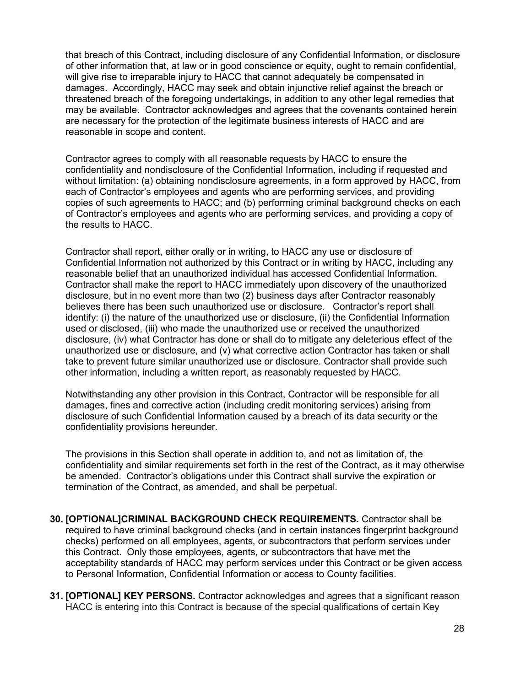that breach of this Contract, including disclosure of any Confidential Information, or disclosure of other information that, at law or in good conscience or equity, ought to remain confidential, will give rise to irreparable injury to HACC that cannot adequately be compensated in damages. Accordingly, HACC may seek and obtain injunctive relief against the breach or threatened breach of the foregoing undertakings, in addition to any other legal remedies that may be available. Contractor acknowledges and agrees that the covenants contained herein are necessary for the protection of the legitimate business interests of HACC and are reasonable in scope and content.

Contractor agrees to comply with all reasonable requests by HACC to ensure the confidentiality and nondisclosure of the Confidential Information, including if requested and without limitation: (a) obtaining nondisclosure agreements, in a form approved by HACC, from each of Contractor's employees and agents who are performing services, and providing copies of such agreements to HACC; and (b) performing criminal background checks on each of Contractor's employees and agents who are performing services, and providing a copy of the results to HACC.

Contractor shall report, either orally or in writing, to HACC any use or disclosure of Confidential Information not authorized by this Contract or in writing by HACC, including any reasonable belief that an unauthorized individual has accessed Confidential Information. Contractor shall make the report to HACC immediately upon discovery of the unauthorized disclosure, but in no event more than two (2) business days after Contractor reasonably believes there has been such unauthorized use or disclosure. Contractor's report shall identify: (i) the nature of the unauthorized use or disclosure, (ii) the Confidential Information used or disclosed, (iii) who made the unauthorized use or received the unauthorized disclosure, (iv) what Contractor has done or shall do to mitigate any deleterious effect of the unauthorized use or disclosure, and (v) what corrective action Contractor has taken or shall take to prevent future similar unauthorized use or disclosure. Contractor shall provide such other information, including a written report, as reasonably requested by HACC.

Notwithstanding any other provision in this Contract, Contractor will be responsible for all damages, fines and corrective action (including credit monitoring services) arising from disclosure of such Confidential Information caused by a breach of its data security or the confidentiality provisions hereunder.

The provisions in this Section shall operate in addition to, and not as limitation of, the confidentiality and similar requirements set forth in the rest of the Contract, as it may otherwise be amended. Contractor's obligations under this Contract shall survive the expiration or termination of the Contract, as amended, and shall be perpetual.

- **30. [OPTIONAL]CRIMINAL BACKGROUND CHECK REQUIREMENTS.** Contractor shall be required to have criminal background checks (and in certain instances fingerprint background checks) performed on all employees, agents, or subcontractors that perform services under this Contract. Only those employees, agents, or subcontractors that have met the acceptability standards of HACC may perform services under this Contract or be given access to Personal Information, Confidential Information or access to County facilities.
- **31. [OPTIONAL] KEY PERSONS.** Contractor acknowledges and agrees that a significant reason HACC is entering into this Contract is because of the special qualifications of certain Key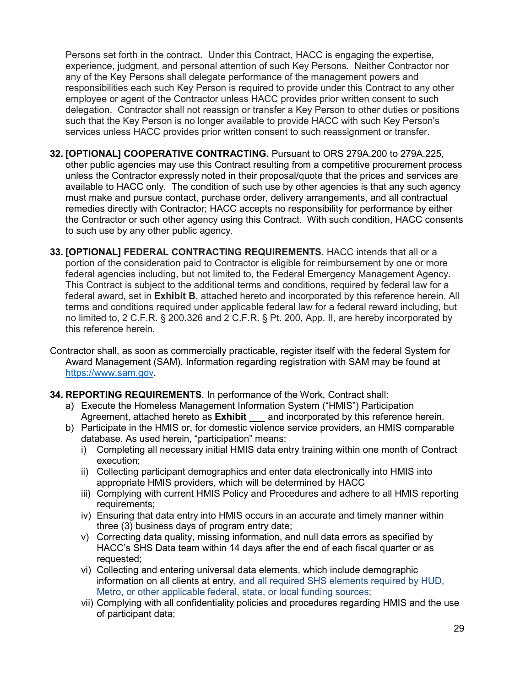Persons set forth in the contract. Under this Contract, HACC is engaging the expertise, experience, judgment, and personal attention of such Key Persons. Neither Contractor nor any of the Key Persons shall delegate performance of the management powers and responsibilities each such Key Person is required to provide under this Contract to any other employee or agent of the Contractor unless HACC provides prior written consent to such delegation. Contractor shall not reassign or transfer a Key Person to other duties or positions such that the Key Person is no longer available to provide HACC with such Key Person's services unless HACC provides prior written consent to such reassignment or transfer.

- **32. [OPTIONAL] COOPERATIVE CONTRACTING.** Pursuant to ORS 279A.200 to 279A.225, other public agencies may use this Contract resulting from a competitive procurement process unless the Contractor expressly noted in their proposal/quote that the prices and services are available to HACC only. The condition of such use by other agencies is that any such agency must make and pursue contact, purchase order, delivery arrangements, and all contractual remedies directly with Contractor; HACC accepts no responsibility for performance by either the Contractor or such other agency using this Contract. With such condition, HACC consents to such use by any other public agency.
- **33. [OPTIONAL] FEDERAL CONTRACTING REQUIREMENTS**. HACC intends that all or a portion of the consideration paid to Contractor is eligible for reimbursement by one or more federal agencies including, but not limited to, the Federal Emergency Management Agency. This Contract is subject to the additional terms and conditions, required by federal law for a federal award, set in **Exhibit B**, attached hereto and incorporated by this reference herein. All terms and conditions required under applicable federal law for a federal reward including, but no limited to, 2 C.F.R. § 200.326 and 2 C.F.R. § Pt. 200, App. II, are hereby incorporated by this reference herein*.*
- Contractor shall, as soon as commercially practicable, register itself with the federal System for Award Management (SAM). Information regarding registration with SAM may be found at [https://www.sam.gov.](https://www.sam.gov/)
- **34. REPORTING REQUIREMENTS**. In performance of the Work, Contract shall:
	- a) Execute the Homeless Management Information System ("HMIS") Participation Agreement, attached hereto as **Exhibit \_\_\_** and incorporated by this reference herein.
	- b) Participate in the HMIS or, for domestic violence service providers, an HMIS comparable database. As used herein, "participation" means:
		- i) Completing all necessary initial HMIS data entry training within one month of Contract execution;
		- ii) Collecting participant demographics and enter data electronically into HMIS into appropriate HMIS providers, which will be determined by HACC
		- iii) Complying with current HMIS Policy and Procedures and adhere to all HMIS reporting requirements;
		- iv) Ensuring that data entry into HMIS occurs in an accurate and timely manner within three (3) business days of program entry date;
		- v) Correcting data quality, missing information, and null data errors as specified by HACC's SHS Data team within 14 days after the end of each fiscal quarter or as requested;
		- vi) Collecting and entering universal data elements, which include demographic information on all clients at entry, and all required SHS elements required by HUD, Metro, or other applicable federal, state, or local funding sources;
		- vii) Complying with all confidentiality policies and procedures regarding HMIS and the use of participant data;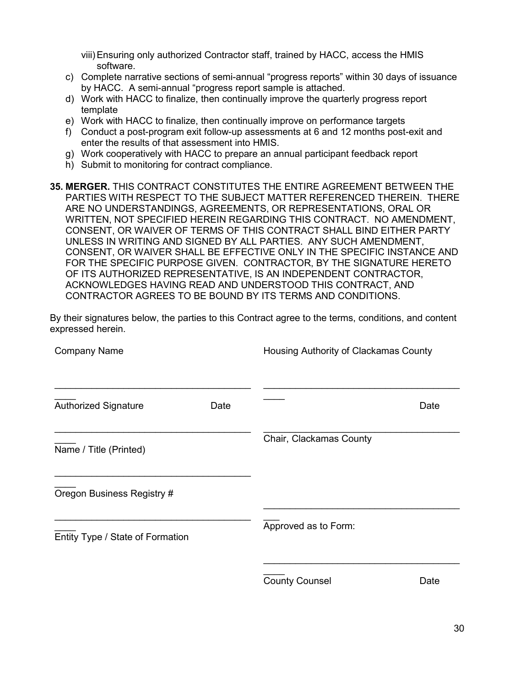viii)Ensuring only authorized Contractor staff, trained by HACC, access the HMIS software.

- c) Complete narrative sections of semi-annual "progress reports" within 30 days of issuance by HACC. A semi-annual "progress report sample is attached.
- d) Work with HACC to finalize, then continually improve the quarterly progress report template
- e) Work with HACC to finalize, then continually improve on performance targets
- f) Conduct a post-program exit follow-up assessments at 6 and 12 months post-exit and enter the results of that assessment into HMIS.
- g) Work cooperatively with HACC to prepare an annual participant feedback report
- h) Submit to monitoring for contract compliance.
- **35. MERGER.** THIS CONTRACT CONSTITUTES THE ENTIRE AGREEMENT BETWEEN THE PARTIES WITH RESPECT TO THE SUBJECT MATTER REFERENCED THEREIN. THERE ARE NO UNDERSTANDINGS, AGREEMENTS, OR REPRESENTATIONS, ORAL OR WRITTEN, NOT SPECIFIED HEREIN REGARDING THIS CONTRACT. NO AMENDMENT, CONSENT, OR WAIVER OF TERMS OF THIS CONTRACT SHALL BIND EITHER PARTY UNLESS IN WRITING AND SIGNED BY ALL PARTIES. ANY SUCH AMENDMENT, CONSENT, OR WAIVER SHALL BE EFFECTIVE ONLY IN THE SPECIFIC INSTANCE AND FOR THE SPECIFIC PURPOSE GIVEN. CONTRACTOR, BY THE SIGNATURE HERETO OF ITS AUTHORIZED REPRESENTATIVE, IS AN INDEPENDENT CONTRACTOR, ACKNOWLEDGES HAVING READ AND UNDERSTOOD THIS CONTRACT, AND CONTRACTOR AGREES TO BE BOUND BY ITS TERMS AND CONDITIONS.

By their signatures below, the parties to this Contract agree to the terms, conditions, and content expressed herein.

| <b>Company Name</b>              |      | Housing Authority of Clackamas County |      |
|----------------------------------|------|---------------------------------------|------|
|                                  |      |                                       |      |
| <b>Authorized Signature</b>      | Date |                                       | Date |
| Name / Title (Printed)           |      | Chair, Clackamas County               |      |
| Oregon Business Registry #       |      |                                       |      |
| Entity Type / State of Formation |      | Approved as to Form:                  |      |
|                                  |      | <b>County Counsel</b>                 | Date |